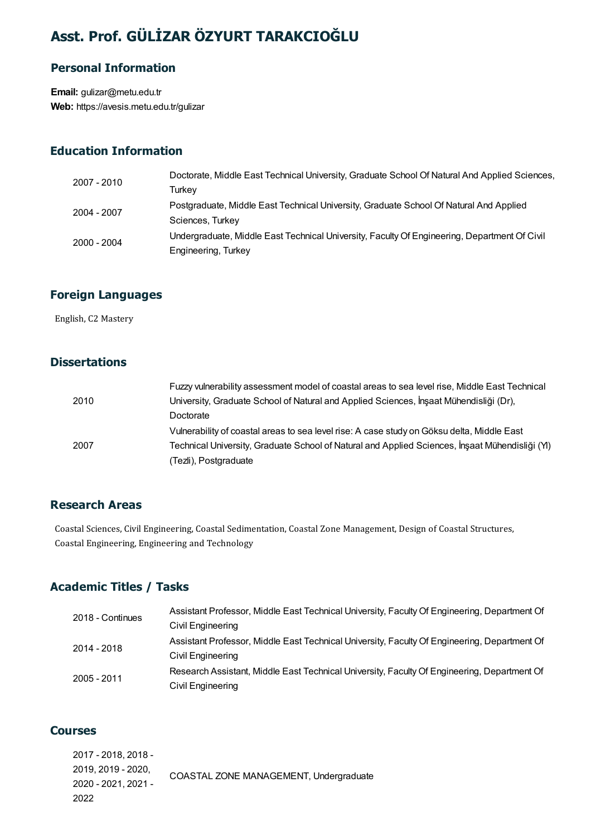### Asst. Prof. GÜLİZAR ÖZYURT TARAKCIOĞLU

#### Personal Information

Email: gulizar@metu.edu.tr Web: https://avesis.metu.edu.tr/gulizar

#### Education Information

| 2007 - 2010 | Doctorate, Middle East Technical University, Graduate School Of Natural And Applied Sciences, |
|-------------|-----------------------------------------------------------------------------------------------|
|             | Turkev                                                                                        |
| 2004 - 2007 | Postgraduate, Middle East Technical University, Graduate School Of Natural And Applied        |
|             | Sciences, Turkey                                                                              |
| 2000 - 2004 | Undergraduate, Middle East Technical University, Faculty Of Engineering, Department Of Civil  |
|             | Engineering, Turkey                                                                           |

# **Foreign Languages**<br>English, C2 Mastery

#### **Dissertations**

|      | Fuzzy vulnerability assessment model of coastal areas to sea level rise, Middle East Technical  |
|------|-------------------------------------------------------------------------------------------------|
| 2010 | University, Graduate School of Natural and Applied Sciences, İnşaat Mühendisliği (Dr),          |
|      | Doctorate                                                                                       |
|      | Vulnerability of coastal areas to sea level rise: A case study on Göksu delta, Middle East      |
| 2007 | Technical University, Graduate School of Natural and Applied Sciences, İnsaat Mühendisliği (YI) |
|      | (Tezli), Postgraduate                                                                           |

#### Research Areas

Research Areas<br>Coastal Sciences, Civil Engineering, Coastal Sedimentation, Coastal Zone Management, Design of Coastal Structures,<br>Coastal Engineering, Engineering and Technology. **Coastal Cri Areas<br>Coastal Sciences, Civil Engineering, Coastal Sedime<br>Coastal Engineering, Engineering and Technology** 

#### Academic Titles / Tasks

| 2018 - Continues | Assistant Professor, Middle East Technical University, Faculty Of Engineering, Department Of |
|------------------|----------------------------------------------------------------------------------------------|
|                  | Civil Engineering                                                                            |
| 2014 - 2018      | Assistant Professor, Middle East Technical University, Faculty Of Engineering, Department Of |
|                  | Civil Engineering                                                                            |
| 2005 - 2011      | Research Assistant, Middle East Technical University, Faculty Of Engineering, Department Of  |
|                  | Civil Engineering                                                                            |

#### Courses

2017 - 2018, 2018 - 2019, 2019 - 2020, 2020 - 2021, 2021 - 2022 COASTAL ZONE MANAGEMENT, Undergraduate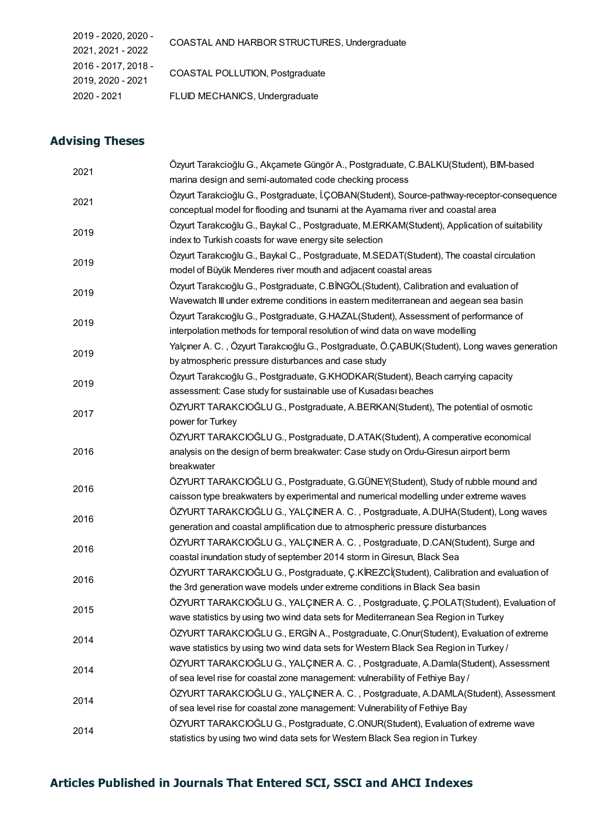| 2019 - 2020, 2020 - | COASTAL AND HARBOR STRUCTURES, Undergraduate |  |
|---------------------|----------------------------------------------|--|
| 2021, 2021 - 2022   |                                              |  |
| 2016 - 2017, 2018 - | COASTAL POLLUTION, Postgraduate              |  |
| 2019, 2020 - 2021   |                                              |  |
| 2020 - 2021         | FLUID MECHANICS, Undergraduate               |  |

#### Advising Theses

| 2021 | Özyurt Tarakcioğlu G., Akçamete Güngör A., Postgraduate, C.BALKU(Student), BIM-based<br>marina design and semi-automated code checking process |
|------|------------------------------------------------------------------------------------------------------------------------------------------------|
|      | Özyurt Tarakcioğlu G., Postgraduate, İ.ÇOBAN(Student), Source-pathway-receptor-consequence                                                     |
| 2021 | conceptual model for flooding and tsunami at the Ayamama river and coastal area                                                                |
|      | Özyurt Tarakcıoğlu G., Baykal C., Postgraduate, M.ERKAM(Student), Application of suitability                                                   |
| 2019 | index to Turkish coasts for wave energy site selection                                                                                         |
|      | Özyurt Tarakcıoğlu G., Baykal C., Postgraduate, M.SEDAT(Student), The coastal circulation                                                      |
| 2019 | model of Büyük Menderes river mouth and adjacent coastal areas                                                                                 |
| 2019 | Özyurt Tarakcıoğlu G., Postgraduate, C.BİNGÖL (Student), Calibration and evaluation of                                                         |
|      | Wavewatch III under extreme conditions in eastern mediterranean and aegean sea basin                                                           |
|      | Özyurt Tarakcıoğlu G., Postgraduate, G.HAZAL(Student), Assessment of performance of                                                            |
| 2019 | interpolation methods for temporal resolution of wind data on wave modelling                                                                   |
| 2019 | Yalçıner A. C., Özyurt Tarakcıoğlu G., Postgraduate, Ö.ÇABUK(Student), Long waves generation                                                   |
|      | by atmospheric pressure disturbances and case study                                                                                            |
| 2019 | Özyurt Tarakcıoğlu G., Postgraduate, G.KHODKAR(Student), Beach carrying capacity                                                               |
|      | assessment: Case study for sustainable use of Kusadası beaches                                                                                 |
| 2017 | ÖZYURT TARAKCIOĞLU G., Postgraduate, A.BERKAN(Student), The potential of osmotic                                                               |
|      | power for Turkey                                                                                                                               |
|      | ÖZYURT TARAKCIOĞLU G., Postgraduate, D.ATAK(Student), A comperative economical                                                                 |
| 2016 | analysis on the design of berm breakwater: Case study on Ordu-Giresun airport berm                                                             |
|      | breakwater                                                                                                                                     |
| 2016 | ÖZYURT TARAKCIOĞLU G., Postgraduate, G.GÜNEY(Student), Study of rubble mound and                                                               |
|      | caisson type breakwaters by experimental and numerical modelling under extreme waves                                                           |
| 2016 | ÖZYURT TARAKCIOĞLU G., YALÇINER A. C., Postgraduate, A.DUHA(Student), Long waves                                                               |
|      | generation and coastal amplification due to atmospheric pressure disturbances                                                                  |
| 2016 | ÖZYURT TARAKCIOĞLU G., YALÇINER A. C., Postgraduate, D.CAN(Student), Surge and                                                                 |
|      | coastal inundation study of september 2014 storm in Giresun, Black Sea                                                                         |
| 2016 | ÖZYURT TARAKCIOĞLU G., Postgraduate, Ç.KİREZCİ(Student), Calibration and evaluation of                                                         |
|      | the 3rd generation wave models under extreme conditions in Black Sea basin                                                                     |
| 2015 | ÖZYURT TARAKCIOĞLU G., YALÇINER A. C., Postgraduate, Ç.POLAT(Student), Evaluation of                                                           |
|      | wave statistics by using two wind data sets for Mediterranean Sea Region in Turkey                                                             |
| 2014 | ÖZYURT TARAKCIOĞLU G., ERGİN A., Postgraduate, C.Onur(Student), Evaluation of extreme                                                          |
|      | wave statistics by using two wind data sets for Western Black Sea Region in Turkey /                                                           |
| 2014 | ÖZYURT TARAKCIOĞLU G., YALÇINER A. C., Postgraduate, A.Damla(Student), Assessment                                                              |
|      | of sea level rise for coastal zone management: vulnerability of Fethiye Bay /                                                                  |
| 2014 | ÖZYURT TARAKCIOĞLU G., YALÇINER A. C., Postgraduate, A.DAMLA(Student), Assessment                                                              |
|      | of sea level rise for coastal zone management: Vulnerability of Fethiye Bay                                                                    |
| 2014 | ÖZYURT TARAKCIOĞLU G., Postgraduate, C.ONUR(Student), Evaluation of extreme wave                                                               |
|      | statistics by using two wind data sets for Western Black Sea region in Turkey                                                                  |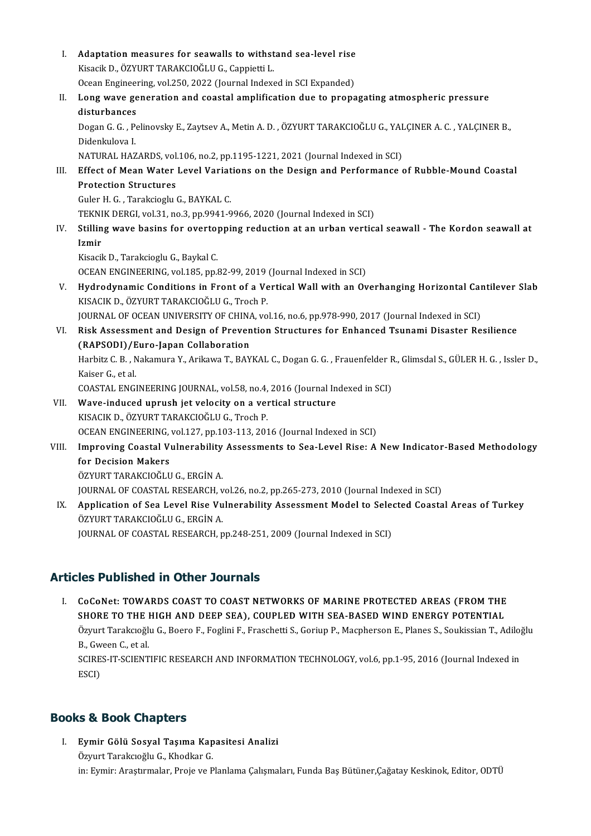- I. Adaptation measures for seawalls to withstand sea-level rise<br>Kisasik D. ÖZVUPT TARAKCIQČLU.C. Connistii I. Adaptation measures for seawalls to withst<br>Kisacik D., ÖZYURT TARAKCIOĞLU G., Cappietti L.<br>Qasan Engineering vel 250, 2022 (Jaurnal Inderg Adaptation measures for seawalls to withstand sea-level rise<br>Kisacik D., ÖZYURT TARAKCIOĞLU G., Cappietti L.<br>Ocean Engineering, vol.250, 2022 (Journal Indexed in SCI Expanded)<br>Lang ways generation and seastal emplification Kisacik D., ÖZYURT TARAKCIOĞLU G., Cappietti L.<br>Ocean Engineering, vol.250, 2022 (Journal Indexed in SCI Expanded)<br>II. Long wave generation and coastal amplification due to propagating atmospheric pressure<br>disturbanees Ocean Engineer<br>Long wave ge<br>disturbances Long wave generation and coastal amplification due to propagating atmospheric pressure<br>disturbances<br>Dogan G. G. , Pelinovsky E., Zaytsev A., Metin A. D. , ÖZYURT TARAKCIOĞLU G., YALÇINER A. C. , YALÇINER B.,<br>Didaplarların di<mark>sturbances</mark><br>Dogan G. G. , P<br>Didenkulova I.<br>NATUPAL HAZ Dogan G. G. , Pelinovsky E., Zaytsev A., Metin A. D. , ÖZYURT TARAKCIOĞLU G., YAL<br>Didenkulova I.<br>NATURAL HAZARDS, vol.106, no.2, pp.1195-1221, 2021 (Journal Indexed in SCI)<br>Effect of Mean Water Lavel Variations on the Desi Didenkulova I.<br>NATURAL HAZARDS, vol.106, no.2, pp.1195-1221, 2021 (Journal Indexed in SCI)<br>III. Effect of Mean Water Level Variations on the Design and Performance of Rubble-Mound Coastal<br>Protection Structures NATURAL HAZARDS, vol.106, no.2, pp.1195-1221, 2021 (Journal Indexed in SCI)<br>Effect of Mean Water Level Variations on the Design and Performance<br>Protection Structures<br>Guler H. G., Tarakcioglu G., BAYKAL C. Effect of Mean Water Level Variat<br>Protection Structures<br>Guler H. G., Tarakcioglu G., BAYKAL C.<br>TELNIK DEPCL vol 31, no 3, nn 9941, 9 TEKNIK DERGI, vol.31, no.3, pp.9941-9966, 2020 (Journal Indexed in SCI) Guler H. G. , Tarakcioglu G., BAYKAL C.<br>TEKNIK DERGI, vol.31, no.3, pp.9941-9966, 2020 (Journal Indexed in SCI)<br>IV. Stilling wave basins for overtopping reduction at an urban vertical seawall - The Kordon seawall at<br>Ig TEKNI<br><mark>Stillin</mark><br>Izmir<br><sup>Kisosil</sup> Stilling wave basins for overto<sub>l</sub><br>Izmir<br>Kisacik D., Tarakcioglu G., Baykal C.<br>OCEAN ENCINEEPING .vol 195. pp. <mark>Izmir</mark><br>Kisacik D., Tarakcioglu G., Baykal C.<br>OCEAN ENGINEERING, vol.185, pp.82-99, 2019 (Journal Indexed in SCI) Kisacik D., Tarakcioglu G., Baykal C.<br>OCEAN ENGINEERING, vol.185, pp.82-99, 2019 (Journal Indexed in SCI)<br>V. Hydrodynamic Conditions in Front of a Vertical Wall with an Overhanging Horizontal Cantilever Slab<br>V.S.ACIV D. ÖZ OCEAN ENGINEERING, vol.185, pp.82-99, 2019<br>Hydrodynamic Conditions in Front of a Ve<br>KISACIK D., ÖZYURT TARAKCIOĞLU G., Troch P.<br>JOUPNAL OF OCEAN UNIVERSITY OF CHINA. vo Hydrodynamic Conditions in Front of a Vertical Wall with an Overhanging Horizontal Car<br>KISACIK D., ÖZYURT TARAKCIOĞLU G., Troch P.<br>JOURNAL OF OCEAN UNIVERSITY OF CHINA, vol.16, no.6, pp.978-990, 2017 (Journal Indexed in SC KISACIK D., ÖZYURT TARAKCIOĞLU G., Troch P.<br>JOURNAL OF OCEAN UNIVERSITY OF CHINA, vol.16, no.6, pp.978-990, 2017 (Journal Indexed in SCI)<br>VI. Risk Assessment and Design of Prevention Structures for Enhanced Tsunami Disaste JOURNAL OF OCEAN UNIVERSITY OF CHINA, vol.16, no.6, pp.978-990, 2017 (Journal Indexed in SCI)<br>Risk Assessment and Design of Prevention Structures for Enhanced Tsunami Disaster Resilience<br>(RAPSODI)/Euro-Japan Collaboration<br> Risk Assessment and Design of Prevention Structures for Enhanced Tsunami Disaster Resilience<br>(RAPSODI)/Euro-Japan Collaboration<br>Harbitz C. B. , Nakamura Y., Arikawa T., BAYKAL C., Dogan G. G. , Frauenfelder R., Glimsdal S. (RAPSODI)/Euro-Japan Collaboration<br>Harbitz C. B. , Nakamura Y., Arikawa T., BAY<br>Kaiser G., et al. Harbitz C. B. , Nakamura Y., Arikawa T., BAYKAL C., Dogan G. G. , Frauenfelder F<br>Kaiser G., et al.<br>COASTAL ENGINEERING JOURNAL, vol.58, no.4, 2016 (Journal Indexed in SCI)<br>Waye indused unrush ist vologity on a vertical str VII. Wave-induced uprush jet velocity on a vertical structure<br>KISACIK D., ÖZYURT TARAKCIOĞLU G., Troch P. COASTAL ENGINEERING JOURNAL, vol.58, no.4,<br>Wave-induced uprush jet velocity on a ver<br>KISACIK D., ÖZYURT TARAKCIOĞLU G., Troch P.<br>OCEAN ENGINEERING, vol.127, np.103,112, 201 OCEAN ENGINEERING, vol.127, pp.103-113, 2016 (Journal Indexed in SCI) KISACIK D., ÖZYURT TARAKCIOĞLU G., Troch P.<br>OCEAN ENGINEERING, vol.127, pp.103-113, 2016 (Journal Indexed in SCI)<br>VIII. Improving Coastal Vulnerability Assessments to Sea-Level Rise: A New Indicator-Based Methodology<br>for D **OCEAN ENGINEERING,<br>Improving Coastal V<br>for Decision Makers<br>ÖZVUPT TARAKCIOČI U** Improving Coastal Vulnerability<br>for Decision Makers<br>ÖZYURT TARAKCIOĞLU G., ERGİN A.<br>JOUPNAL OF COASTAL PESEAPCH... for Decision Makers<br>ÖZYURT TARAKCIOĞLU G., ERGİN A.<br>JOURNAL OF COASTAL RESEARCH, vol.26, no.2, pp.265-273, 2010 (Journal Indexed in SCI) ÖZYURT TARAKCIOĞLU G., ERGİN A.<br>JOURNAL OF COASTAL RESEARCH, vol.26, no.2, pp.265-273, 2010 (Journal Indexed in SCI)<br>IX. Application of Sea Level Rise Vulnerability Assessment Model to Selected Coastal Areas of Turkey<br>
- JOURNAL OF COASTAL RESEARCH, v<br><mark>Application of Sea Level Rise Vu</mark><br>ÖZYURT TARAKCIOĞLU G., ERGİN A.<br>JOUPNAL OF COASTAL PESEARCH. p Application of Sea Level Rise Vulnerability Assessment Model to Sele<br>ÖZYURT TARAKCIOĞLU G., ERGİN A.<br>JOURNAL OF COASTAL RESEARCH, pp.248-251, 2009 (Journal Indexed in SCI)

#### Articles Published in Other Journals

**TICIES Published in Other Journals<br>I. CoCoNet: TOWARDS COAST TO COAST NETWORKS OF MARINE PROTECTED AREAS (FROM THE<br>SHOPE TO THE HICH AND DEER SEA), COUPLED WITH SEA PASED WIND ENERCY POTENTIAL** TES PUBLISHEU IN OCHET SOUTHUIS<br>CoCoNet: TOWARDS COAST TO COAST NETWORKS OF MARINE PROTECTED AREAS (FROM THE<br>SHORE TO THE HIGH AND DEEP SEA), COUPLED WITH SEA-BASED WIND ENERGY POTENTIAL<br>ÖTHUT TARAKHOÖLLG, BOARE E FOCULLE CoCoNet: TOWARDS COAST TO COAST NETWORKS OF MARINE PROTECTED AREAS (FROM THE<br>SHORE TO THE HIGH AND DEEP SEA), COUPLED WITH SEA-BASED WIND ENERGY POTENTIAL<br>Özyurt Tarakcıoğlu G., Boero F., Foglini F., Fraschetti S., Goriup **SHORE TO THE I<br>Özyurt Tarakcıoğlı<br>B., Gween C., et al.**<br>SCIPES IT SCIENT Özyurt Tarakcıoğlu G., Boero F., Foglini F., Fraschetti S., Goriup P., Macpherson E., Planes S., Soukissian T., Adiloj<br>B., Gween C., et al.<br>SCIRES-IT-SCIENTIFIC RESEARCH AND INFORMATION TECHNOLOGY, vol.6, pp.1-95, 2016 (Jo B., Gween C., et al.<br>SCIRES-IT-SCIENTIFIC RESEARCH AND INFORMATION TECHNOLOGY, vol.6, pp.1-95, 2016 (Journal Indexed in<br>ESCI)

#### Books & Book Chapters

I. Eymir Gölü Sosyal Taşıma Kapasitesi Analizi Özyurt Tarakcıoğlu G., Khodkar G. in: Eymir: Araştırmalar, Proje ve Planlama Çalışmaları, Funda Baş Bütüner,Çağatay Keskinok, Editor, ODTÜ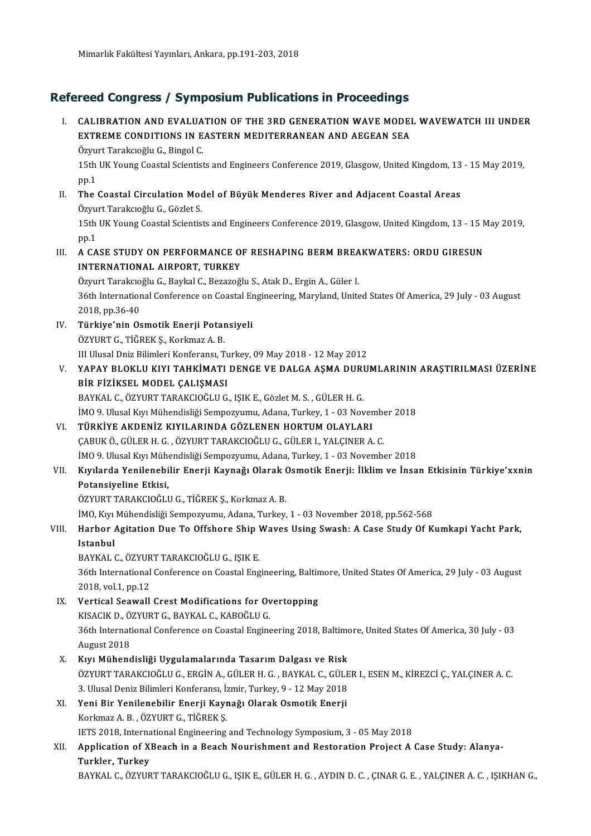## Refereed Congress / Symposium Publications in Proceedings **Efereed Congress / Symposium Publications in Proceedings**<br>I. CALIBRATION AND EVALUATION OF THE 3RD GENERATION WAVE MODEL WAVEWATCH III UNDER<br>EXTREME CONDITIONS IN EASTERN MEDITERRANEAN AND AECEAN SEA

ECU CONGTESS / SYMPOSIUM PUBRICATIONS IN PROCEEDINGS<br>CALIBRATION AND EVALUATION OF THE 3RD GENERATION WAVE MODEI<br>EXTREME CONDITIONS IN EASTERN MEDITERRANEAN AND AEGEAN SEA CALIBRATION AND EVALUA<br>EXTREME CONDITIONS IN E<br>Özyurt Tarakcıoğlu G., Bingol C.<br>15th IIV Young Coastal Scientist EXTREME CONDITIONS IN EASTERN MEDITERRANEAN AND AEGEAN SEA<br>Özyurt Tarakcıoğlu G., Bingol C.<br>15th UK Young Coastal Scientists and Engineers Conference 2019, Glasgow, United Kingdom, 13 - 15 May 2019,<br>nn 1 Özyu<br>15th<br>pp.1<br>The 15th UK Young Coastal Scientists and Engineers Conference 2019, Glasgow, United Kingdom, 13<br>pp.1<br>II. The Coastal Circulation Model of Büyük Menderes River and Adjacent Coastal Areas<br>Özenet Taraksı S pp.1<br><mark>The Coastal Circulation Moo</mark><br>Özyurt Tarakcıoğlu G., Gözlet S.<br>15th UK Young Coastal Scientic The Coastal Circulation Model of Büyük Menderes River and Adjacent Coastal Areas<br>Özyurt Tarakcıoğlu G., Gözlet S.<br>15th UK Young Coastal Scientists and Engineers Conference 2019, Glasgow, United Kingdom, 13 - 15 May 2019,<br>n Özyu<br>15th<br>pp.1 15th UK Young Coastal Scientists and Engineers Conference 2019, Glasgow, United Kingdom, 13 - 15 N<br>pp.1<br>III. A CASE STUDY ON PERFORMANCE OF RESHAPING BERM BREAKWATERS: ORDU GIRESUN<br>INTERNATIONAL AIRPORT TURKEY pp.1<br>A CASE STUDY ON PERFORMANCE OF<br>INTERNATIONAL AIRPORT, TURKEY<br>Ögyvit Tereksieğli C. Berkel C. Beregeğ A CASE STUDY ON PERFORMANCE OF RESHAPING BERM BREA<br>INTERNATIONAL AIRPORT, TURKEY<br>Özyurt Tarakcıoğlu G., Baykal C., Bezazoğlu S., Atak D., Ergin A., Güler I.<br>26th International Conference on Coastal Engineering Maryland Uni INTERNATIONAL AIRPORT, TURKEY<br>Özyurt Tarakcıoğlu G., Baykal C., Bezazoğlu S., Atak D., Ergin A., Güler I.<br>36th International Conference on Coastal Engineering, Maryland, United States Of America, 29 July - 03 August<br>2018, Özyurt Tarakcıoğlu G., Baykal C., Bezazoğlu S., Atak D., Ergin A., Güler I. 36th International Conference on Coastal Er<br>2018, pp.36-40<br>IV. Türkiye'nin Osmotik Enerji Potansiyeli<br>ÖZVUPT G. TİĞDEK S. Korkmaz A. B 2018, pp.36-40<br><mark>Türkiye'nin Osmotik Enerji Potar</mark><br>ÖZYURT G., TİĞREK Ş., Korkmaz A. B.<br>III Illusal Dniz Bilimleri Konferencu T ÖZYURT G., TİĞREK Ş., Korkmaz A. B.<br>III Ulusal Dniz Bilimleri Konferansı, Turkey, 09 May 2018 - 12 May 2012 ÖZYURT G., TİĞREK Ş., Korkmaz A. B.<br>III Ulusal Dniz Bilimleri Konferansı, Turkey, 09 May 2018 - 12 May 2012<br>V. YAPAY BLOKLU KIYI TAHKİMATI DENGE VE DALGA AŞMA DURUMLARININ ARAŞTIRILMASI ÜZERİNE<br>PİR EİZİKSEL MODEL GALIS III Ulusal Dniz Bilimleri Konferansı, Tu<br>YAPAY BLOKLU KIYI TAHKİMATI<br>BİR FİZİKSEL MODEL ÇALIŞMASI<br>BAYKAL C. ÖZYUPT TARAKÇIQÖLLE YAPAY BLOKLU KIYI TAHKİMATI DENGE VE DALGA AŞMA DURI<br>BİR FİZİKSEL MODEL ÇALIŞMASI<br>BAYKAL C., ÖZYURT TARAKCIOĞLU G., IŞIK E., Gözlet M. S. , GÜLER H. G.<br>İMO 9. Ulusal Kur Mühandisliği Samnazırımı Adana Turkay 1 , 93 Nay BİR FİZİKSEL MODEL ÇALIŞMASI<br>BAYKAL C., ÖZYURT TARAKCIOĞLU G., IŞIK E., Gözlet M. S. , GÜLER H. G.<br>İMO 9. Ulusal Kıyı Mühendisliği Sempozyumu, Adana, Turkey, 1 - 03 November 2018 VI. TÜRKİYE AKDENİZ KIYILARINDA GÖZLENEN HORTUMOLAYLARI ÇABUKÖ.,GÜLERH.G. ,ÖZYURTTARAKCIOĞLUG.,GÜLERI.,YALÇINERA.C. TÜRKİYE AKDENİZ KIYILARINDA GÖZLENEN HORTUM OLAYLARI<br>ÇABUK Ö., GÜLER H. G. , ÖZYURT TARAKCIOĞLU G., GÜLER I., YALÇINER A. C.<br>İMO 9. Ulusal Kıyı Mühendisliği Sempozyumu, Adana, Turkey, 1 - 03 November 2018<br>Kuularda Yanilana ÇABUK Ö., GÜLER H. G. , ÖZYURT TARAKCIOĞLU G., GÜLER I., YALÇINER A. C.<br>İMO 9. Ulusal Kıyı Mühendisliği Sempozyumu, Adana, Turkey, 1 - 03 November 2018<br>VII. Kıyılarda Yenilenebilir Enerji Kaynağı Olarak Osmotik Enerji: İMO 9. Ulusal Kıyı Mühe<br><mark>Kıyılarda Yenilenebi</mark><br>Potansiyeline Etkisi,<br>ÖZVUPT TARA*VC*IOČI I Kıyılarda Yenilenebilir Enerji Kaynağı Olarak (<br>Potansiyeline Etkisi,<br>ÖZYURT TARAKCIOĞLU G., TİĞREK Ş., Korkmaz A. B.<br>İMO Kun Mühandisliği Samnazınımı, Adana Turkey Potansiyeline Etkisi,<br>ÖZYURT TARAKCIOĞLU G., TİĞREK Ş., Korkmaz A. B.<br>İMO, Kıyı Mühendisliği Sempozyumu, Adana, Turkey, 1 - 03 November 2018, pp.562-568<br>Harbar Agitation Due To Offshare Shin Wayes Heing Swash: A Gase Study ÖZYURT TARAKCIOĞLU G., TİĞREK Ş., Korkmaz A. B.<br>İMO, Kıyı Mühendisliği Sempozyumu, Adana, Turkey, 1 - 03 November 2018, pp.562-568<br>VIII. Harbor Agitation Due To Offshore Ship Waves Using Swash: A Case Study Of Kumkapi İMO, Kıyı<br><mark>Harbor</mark><br>Istanbul<br>PAYKAL ( Harbor Agitation Due To Offshore Ship <mark>V</mark><br>Istanbul<br>BAYKAL C., ÖZYURT TARAKCIOĞLU G., IŞIK E.<br>26th International Conference en Coastal Eng 36th International Conference on Coastal Engineering, Baltimore, United States Of America, 29 July - 03 August<br>2018, vol.1, pp.12 BAYKAL C., ÖZYUR<br>36th International<br>2018, vol.1, pp.12<br>Vertical Seawall 36th International Conference on Coastal Engineering, Baltin<br>2018, vol.1, pp.12<br>IX. Vertical Seawall Crest Modifications for Overtopping<br>EXEMPLE CRAVEAL CRAPOČLU C 2018, vol.1, pp.12<br>Vertical Seawall Crest Modifications for Ov<br>KISACIK D., ÖZYURT G., BAYKAL C., KABOĞLU G.<br>26th International Conference en Coastal Engine KISACIK D., ÖZYURT G., BAYKAL C., KABOĞLU G.<br>36th International Conference on Coastal Engineering 2018, Baltimore, United States Of America, 30 July - 03 August 2018 X. Kıyı Mühendisliği Uygulamalarında Tasarım Dalgası ve Risk ÖZYURTTARAKCIOĞLUG.,ERGİNA.,GÜLERH.G. ,BAYKAL C.,GÜLERI.,ESENM.,KİREZCİÇ.,YALÇINERA.C. Kıyı Mühendisliği Uygulamalarında Tasarım Dalgası ve Risk<br>ÖZYURT TARAKCIOĞLU G., ERGİN A., GÜLER H. G. , BAYKAL C., GÜLE<br>3. Ulusal Deniz Bilimleri Konferansı, İzmir, Turkey, 9 - 12 May 2018<br>Yani Bir Yanilanebilir Enerii Ka ÖZYURT TARAKCIOĞLU G., ERGİN A., GÜLER H. G. , BAYKAL C., GÜLE<br>3. Ulusal Deniz Bilimleri Konferansı, İzmir, Turkey, 9 - 12 May 2018<br>XI. Yeni Bir Yenilenebilir Enerji Kaynağı Olarak Osmotik Enerji<br>Karlmaz A. B. ÖZYURT C. Tİ 3. Ulusal Deniz Bilimleri Konferansı, İz<br>**Yeni Bir Yenilenebilir Enerji Kayı**<br>Korkmaz A. B. , ÖZYURT G., TİĞREK Ş.<br>IETS 2018. International Engineering Yeni Bir Yenilenebilir Enerji Kaynağı Olarak Osmotik Enerji<br>Korkmaz A. B. , ÖZYURT G., TİĞREK Ş.<br>IETS 2018, International Engineering and Technology Symposium, 3 - 05 May 2018<br>Annligation of YBoach in a Boach Nourishmont a Korkmaz A. B. , ÖZYURT G., TİĞREK Ş.<br>IETS 2018, International Engineering and Technology Symposium, 3 - 05 May 2018<br>XII. Application of XBeach in a Beach Nourishment and Restoration Project A Case Study: Alanya-<br>Turkler, T **IETS 2018, Interna<br>Application of X<br>Turkler, Turkey<br>BAVKAL G. ÖZVUD** BAYKAL C.,ÖZYURTTARAKCIOĞLUG., IŞIKE.,GÜLERH.G. ,AYDIND.C. ,ÇINARG.E. ,YALÇINERA.C. , IŞIKHANG.,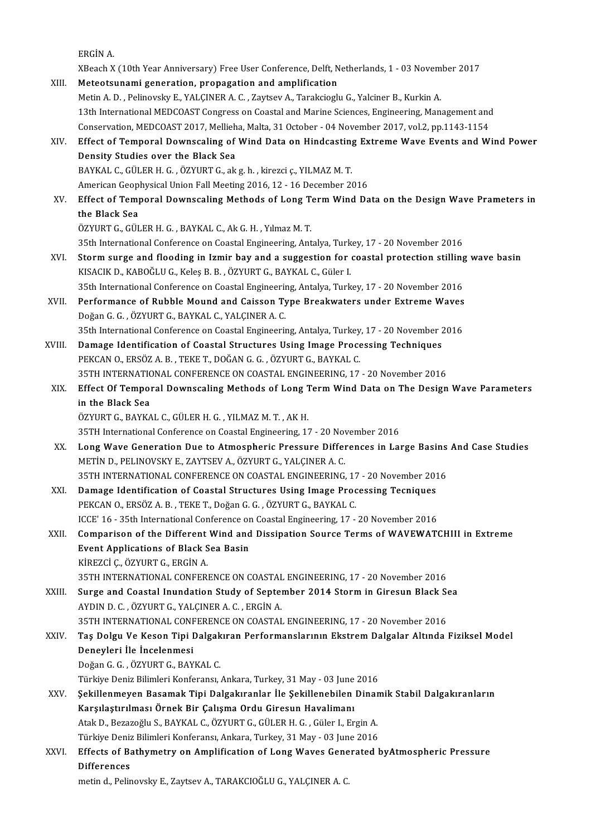|        | ERGİN A.                                                                                                                                                                 |
|--------|--------------------------------------------------------------------------------------------------------------------------------------------------------------------------|
|        | XBeach X (10th Year Anniversary) Free User Conference, Delft, Netherlands, 1 - 03 November 2017                                                                          |
| XIII.  | Meteotsunami generation, propagation and amplification                                                                                                                   |
|        | Metin A. D., Pelinovsky E., YALÇINER A. C., Zaytsev A., Tarakcioglu G., Yalciner B., Kurkin A.                                                                           |
|        | 13th International MEDCOAST Congress on Coastal and Marine Sciences, Engineering, Management and                                                                         |
|        | Conservation, MEDCOAST 2017, Mellieha, Malta, 31 October - 04 November 2017, vol.2, pp.1143-1154                                                                         |
| XIV.   | Effect of Temporal Downscaling of Wind Data on Hindcasting Extreme Wave Events and Wind Power                                                                            |
|        | Density Studies over the Black Sea                                                                                                                                       |
|        | BAYKAL C., GÜLER H. G., ÖZYURT G., ak g. h., kirezci ç., YILMAZ M. T.                                                                                                    |
|        | American Geophysical Union Fall Meeting 2016, 12 - 16 December 2016                                                                                                      |
| XV.    | Effect of Temporal Downscaling Methods of Long Term Wind Data on the Design Wave Prameters in                                                                            |
|        | the Black Sea                                                                                                                                                            |
|        | ÖZYURT G., GÜLER H. G., BAYKAL C., Ak G. H., Yılmaz M. T.                                                                                                                |
|        | 35th International Conference on Coastal Engineering, Antalya, Turkey, 17 - 20 November 2016                                                                             |
| XVI.   | Storm surge and flooding in Izmir bay and a suggestion for coastal protection stilling wave basin<br>KISACIK D., KABOĞLU G., Keleş B. B., ÖZYURT G., BAYKAL C., Güler I. |
|        | 35th International Conference on Coastal Engineering, Antalya, Turkey, 17 - 20 November 2016                                                                             |
| XVII.  | Performance of Rubble Mound and Caisson Type Breakwaters under Extreme Waves                                                                                             |
|        | Doğan G. G., ÖZYURT G., BAYKAL C., YALÇINER A. C.                                                                                                                        |
|        | 35th International Conference on Coastal Engineering, Antalya, Turkey, 17 - 20 November 2016                                                                             |
| XVIII. | Damage Identification of Coastal Structures Using Image Processing Techniques                                                                                            |
|        | PEKCAN O., ERSÖZ A. B., TEKE T., DOĞAN G. G., ÖZYURT G., BAYKAL C.                                                                                                       |
|        | 35TH INTERNATIONAL CONFERENCE ON COASTAL ENGINEERING, 17 - 20 November 2016                                                                                              |
| XIX.   | Effect Of Temporal Downscaling Methods of Long Term Wind Data on The Design Wave Parameters                                                                              |
|        | in the Black Sea                                                                                                                                                         |
|        | ÖZYURT G., BAYKAL C., GÜLER H. G., YILMAZ M. T., AK H.                                                                                                                   |
|        | 35TH International Conference on Coastal Engineering, 17 - 20 November 2016                                                                                              |
| XX.    | Long Wave Generation Due to Atmospheric Pressure Differences in Large Basins And Case Studies                                                                            |
|        | METIN D., PELINOVSKY E., ZAYTSEV A., ÖZYURT G., YALÇINER A. C.                                                                                                           |
|        | 35TH INTERNATIONAL CONFERENCE ON COASTAL ENGINEERING, 17 - 20 November 2016                                                                                              |
| XXI.   | Damage Identification of Coastal Structures Using Image Processing Tecniques                                                                                             |
|        | PEKCAN O., ERSÖZ A. B., TEKE T., Doğan G. G., ÖZYURT G., BAYKAL C.                                                                                                       |
|        | ICCE' 16 - 35th International Conference on Coastal Engineering, 17 - 20 November 2016                                                                                   |
| XXII.  | Comparison of the Different Wind and Dissipation Source Terms of WAVEWATCHIII in Extreme                                                                                 |
|        | <b>Event Applications of Black Sea Basin</b>                                                                                                                             |
|        | KİREZCİ Ç., ÖZYURT G., ERGİN A.                                                                                                                                          |
|        | 35TH INTERNATIONAL CONFERENCE ON COASTAL ENGINEERING, 17 - 20 November 2016                                                                                              |
| XXIII. | Surge and Coastal Inundation Study of September 2014 Storm in Giresun Black Sea                                                                                          |
|        | AYDIN D. C., ÖZYURT G., YALÇINER A. C., ERGİN A.                                                                                                                         |
|        | 35TH INTERNATIONAL CONFERENCE ON COASTAL ENGINEERING, 17 - 20 November 2016                                                                                              |
| XXIV . | Taş Dolgu Ve Keson Tipi Dalgakıran Performanslarının Ekstrem Dalgalar Altında Fiziksel Model                                                                             |
|        | Deneyleri İle İncelenmesi                                                                                                                                                |
|        | Doğan G G , ÖZYURT G , BAYKAL C                                                                                                                                          |
|        | Türkiye Deniz Bilimleri Konferansı, Ankara, Turkey, 31 May - 03 June 2016                                                                                                |
| XXV .  | Şekillenmeyen Basamak Tipi Dalgakıranlar İle Şekillenebilen Dinamik Stabil Dalgakıranların                                                                               |
|        | Karşılaştırılması Örnek Bir Çalışma Ordu Giresun Havalimanı                                                                                                              |
|        | Atak D., Bezazoğlu S., BAYKAL C., ÖZYURT G., GÜLER H. G. , Güler I., Ergin A.                                                                                            |
|        | Türkiye Deniz Bilimleri Konferansı, Ankara, Turkey, 31 May - 03 June 2016                                                                                                |
| XXVI.  | Effects of Bathymetry on Amplification of Long Waves Generated byAtmospheric Pressure                                                                                    |
|        | <b>Differences</b>                                                                                                                                                       |
|        | metin d., Pelinovsky E., Zaytsev A., TARAKCIOĞLU G., YALÇINER A. C.                                                                                                      |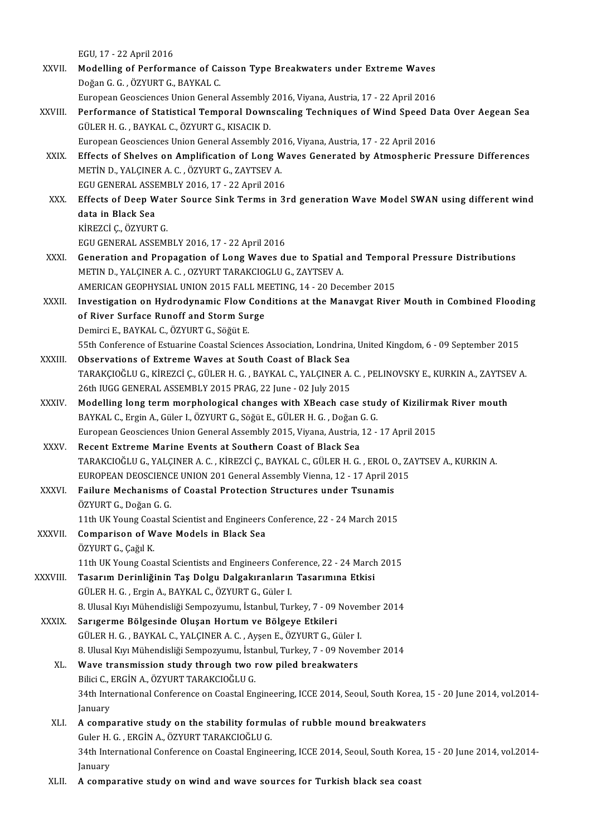|              | EGU, 17 - 22 April 2016                                                                                                                                                 |
|--------------|-------------------------------------------------------------------------------------------------------------------------------------------------------------------------|
| XXVII.       | Modelling of Performance of Caisson Type Breakwaters under Extreme Waves                                                                                                |
|              | Doğan G G , ÖZYURT G , BAYKAL C.                                                                                                                                        |
|              | European Geosciences Union General Assembly 2016, Viyana, Austria, 17 - 22 April 2016                                                                                   |
| XXVIII.      | Performance of Statistical Temporal Downscaling Techniques of Wind Speed Data Over Aegean Sea                                                                           |
|              | GÜLER H. G., BAYKAL C., ÖZYURT G., KISACIK D.                                                                                                                           |
|              | European Geosciences Union General Assembly 2016, Viyana, Austria, 17 - 22 April 2016                                                                                   |
| XXIX.        | Effects of Shelves on Amplification of Long Waves Generated by Atmospheric Pressure Differences                                                                         |
|              | METIN D., YALÇINER A. C., ÖZYURT G., ZAYTSEV A.                                                                                                                         |
|              | EGU GENERAL ASSEMBLY 2016, 17 - 22 April 2016                                                                                                                           |
| XXX.         | Effects of Deep Water Source Sink Terms in 3rd generation Wave Model SWAN using different wind                                                                          |
|              | data in Black Sea                                                                                                                                                       |
|              | KİREZCİ Ç, ÖZYURT G                                                                                                                                                     |
|              | EGU GENERAL ASSEMBLY 2016, 17 - 22 April 2016                                                                                                                           |
| XXXI.        | Generation and Propagation of Long Waves due to Spatial and Temporal Pressure Distributions                                                                             |
|              | METIN D., YALÇINER A. C., OZYURT TARAKCIOGLU G., ZAYTSEV A.                                                                                                             |
|              | AMERICAN GEOPHYSIAL UNION 2015 FALL MEETING, 14 - 20 December 2015                                                                                                      |
| XXXII.       | Investigation on Hydrodynamic Flow Conditions at the Manavgat River Mouth in Combined Flooding                                                                          |
|              | of River Surface Runoff and Storm Surge                                                                                                                                 |
|              | Demirci E., BAYKAL C., ÖZYURT G., Söğüt E.                                                                                                                              |
|              | 55th Conference of Estuarine Coastal Sciences Association, Londrina, United Kingdom, 6 - 09 September 2015<br>Observations of Extreme Waves at South Coast of Black Sea |
| XXXIII.      | TARAKÇIOĞLU G., KİREZCİ Ç., GÜLER H. G. , BAYKAL C., YALÇINER A. C. , PELINOVSKY E., KURKIN A., ZAYTSEV A.                                                              |
|              | 26th IUGG GENERAL ASSEMBLY 2015 PRAG, 22 June - 02 July 2015                                                                                                            |
| XXXIV.       | Modelling long term morphological changes with XBeach case study of Kizilirmak River mouth                                                                              |
|              | BAYKAL C., Ergin A., Güler I., ÖZYURT G., Söğüt E., GÜLER H. G., Doğan G. G.                                                                                            |
|              | European Geosciences Union General Assembly 2015, Viyana, Austria, 12 - 17 April 2015                                                                                   |
| XXXV         | Recent Extreme Marine Events at Southern Coast of Black Sea                                                                                                             |
|              | TARAKCIOĞLU G., YALÇINER A. C. , KİREZCİ Ç., BAYKAL C., GÜLER H. G. , EROL O., ZAYTSEV A., KURKIN A.                                                                    |
|              | EUROPEAN DEOSCIENCE UNION 201 General Assembly Vienna, 12 - 17 April 2015                                                                                               |
| XXXVI.       | Failure Mechanisms of Coastal Protection Structures under Tsunamis                                                                                                      |
|              | ÖZYURT G., Doğan G. G.                                                                                                                                                  |
|              | 11th UK Young Coastal Scientist and Engineers Conference, 22 - 24 March 2015                                                                                            |
| XXXVII.      | Comparison of Wave Models in Black Sea                                                                                                                                  |
|              | ÖZYURT G., Çağıl K.                                                                                                                                                     |
|              | 11th UK Young Coastal Scientists and Engineers Conference, 22 - 24 March 2015                                                                                           |
| XXXVIII.     | Tasarım Derinliğinin Taş Dolgu Dalgakıranların Tasarımına Etkisi                                                                                                        |
|              | GÜLER H. G., Ergin A., BAYKAL C., ÖZYURT G., Güler I.                                                                                                                   |
|              | 8. Ulusal Kıyı Mühendisliği Sempozyumu, İstanbul, Turkey, 7 - 09 November 2014                                                                                          |
| <b>XXXIX</b> | Sarıgerme Bölgesinde Oluşan Hortum ve Bölgeye Etkileri                                                                                                                  |
|              | GÜLER H. G., BAYKAL C., YALÇINER A. C., Ayşen E., ÖZYURT G., Güler I.                                                                                                   |
|              | 8. Ulusal Kıyı Mühendisliği Sempozyumu, İstanbul, Turkey, 7 - 09 November 2014                                                                                          |
| XL.          | Wave transmission study through two row piled breakwaters                                                                                                               |
|              | Bilici C., ERGİN A., ÖZYURT TARAKCIOĞLU G.                                                                                                                              |
|              | 34th International Conference on Coastal Engineering, ICCE 2014, Seoul, South Korea, 15 - 20 June 2014, vol.2014-                                                       |
|              | January                                                                                                                                                                 |
| XLI.         | A comparative study on the stability formulas of rubble mound breakwaters                                                                                               |
|              | Guler H. G., ERGIN A., ÖZYURT TARAKCIOĞLU G.                                                                                                                            |
|              | 34th International Conference on Coastal Engineering, ICCE 2014, Seoul, South Korea, 15 - 20 June 2014, vol.2014-<br>January                                            |
| XLII.        | A comparative study on wind and wave sources for Turkish black sea coast                                                                                                |
|              |                                                                                                                                                                         |